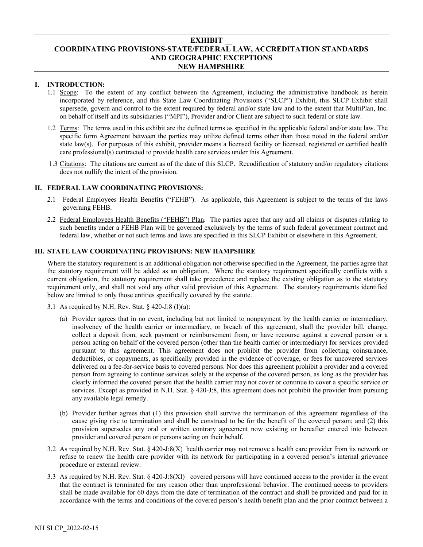## **EXHIBIT \_\_ COORDINATING PROVISIONS-STATE/FEDERAL LAW, ACCREDITATION STANDARDS AND GEOGRAPHIC EXCEPTIONS NEW HAMPSHIRE**

## **I. INTRODUCTION:**

- 1.1 Scope: To the extent of any conflict between the Agreement, including the administrative handbook as herein incorporated by reference, and this State Law Coordinating Provisions ("SLCP") Exhibit, this SLCP Exhibit shall supersede, govern and control to the extent required by federal and/or state law and to the extent that MultiPlan, Inc. on behalf of itself and its subsidiaries ("MPI"), Provider and/or Client are subject to such federal or state law.
- 1.2 Terms: The terms used in this exhibit are the defined terms as specified in the applicable federal and/or state law. The specific form Agreement between the parties may utilize defined terms other than those noted in the federal and/or state law(s). For purposes of this exhibit, provider means a licensed facility or licensed, registered or certified health care professional(s) contracted to provide health care services under this Agreement.
- 1.3 Citations: The citations are current as of the date of this SLCP. Recodification of statutory and/or regulatory citations does not nullify the intent of the provision.

## **II. FEDERAL LAW COORDINATING PROVISIONS:**

- 2.1 Federal Employees Health Benefits ("FEHB"). As applicable, this Agreement is subject to the terms of the laws governing FEHB.
- 2.2 Federal Employees Health Benefits ("FEHB") Plan. The parties agree that any and all claims or disputes relating to such benefits under a FEHB Plan will be governed exclusively by the terms of such federal government contract and federal law, whether or not such terms and laws are specified in this SLCP Exhibit or elsewhere in this Agreement.

#### **III. STATE LAW COORDINATING PROVISIONS: NEW HAMPSHIRE**

Where the statutory requirement is an additional obligation not otherwise specified in the Agreement, the parties agree that the statutory requirement will be added as an obligation. Where the statutory requirement specifically conflicts with a current obligation, the statutory requirement shall take precedence and replace the existing obligation as to the statutory requirement only, and shall not void any other valid provision of this Agreement. The statutory requirements identified below are limited to only those entities specifically covered by the statute.

- 3.1 As required by N.H. Rev. Stat.  $\S$  420-J:8 (I)(a):
	- (a) Provider agrees that in no event, including but not limited to nonpayment by the health carrier or intermediary, insolvency of the health carrier or intermediary, or breach of this agreement, shall the provider bill, charge, collect a deposit from, seek payment or reimbursement from, or have recourse against a covered person or a person acting on behalf of the covered person (other than the health carrier or intermediary) for services provided pursuant to this agreement. This agreement does not prohibit the provider from collecting coinsurance, deductibles, or copayments, as specifically provided in the evidence of coverage, or fees for uncovered services delivered on a fee-for-service basis to covered persons. Nor does this agreement prohibit a provider and a covered person from agreeing to continue services solely at the expense of the covered person, as long as the provider has clearly informed the covered person that the health carrier may not cover or continue to cover a specific service or services. Except as provided in N.H. Stat. § 420-J:8, this agreement does not prohibit the provider from pursuing any available legal remedy.
	- (b) Provider further agrees that (1) this provision shall survive the termination of this agreement regardless of the cause giving rise to termination and shall be construed to be for the benefit of the covered person; and (2) this provision supersedes any oral or written contrary agreement now existing or hereafter entered into between provider and covered person or persons acting on their behalf.
- 3.2 As required by N.H. Rev. Stat. § 420-J:8(X) health carrier may not remove a health care provider from its network or refuse to renew the health care provider with its network for participating in a covered person's internal grievance procedure or external review.
- 3.3 As required by N.H. Rev. Stat. § 420-J:8(XI) covered persons will have continued access to the provider in the event that the contract is terminated for any reason other than unprofessional behavior. The continued access to providers shall be made available for 60 days from the date of termination of the contract and shall be provided and paid for in accordance with the terms and conditions of the covered person's health benefit plan and the prior contract between a